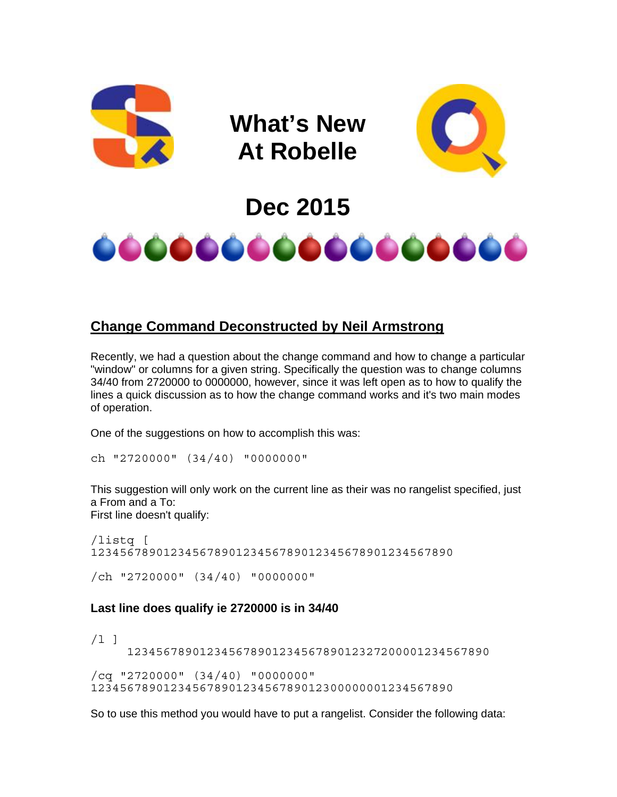

## **Change Command Deconstructed by Neil Armstrong**

Recently, we had a question about the change command and how to change a particular "window" or columns for a given string. Specifically the question was to change columns 34/40 from 2720000 to 0000000, however, since it was left open as to how to qualify the lines a quick discussion as to how the change command works and it's two main modes of operation.

One of the suggestions on how to accomplish this was:

```
ch "2720000" (34/40) "0000000"
```
This suggestion will only work on the current line as their was no rangelist specified, just a From and a To: First line doesn't qualify:

/listq [ 12345678901234567890123456789012345678901234567890 /ch "2720000" (34/40) "0000000"

# **Last line does qualify ie 2720000 is in 34/40**

 $/1$  ] 12345678901234567890123456789012327200001234567890 /cq "2720000" (34/40) "0000000" 12345678901234567890123456789012300000001234567890

So to use this method you would have to put a rangelist. Consider the following data: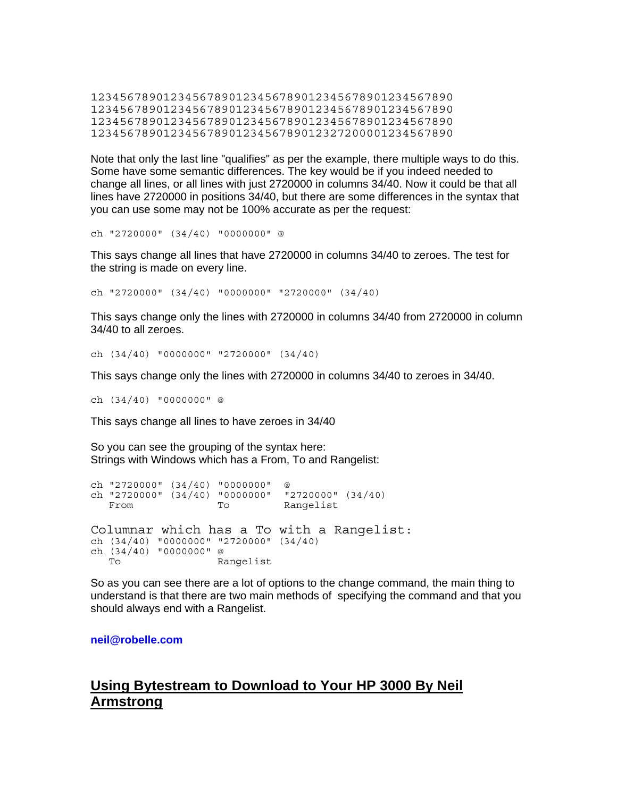12345678901234567890123456789012345678901234567890 12345678901234567890123456789012345678901234567890 12345678901234567890123456789012345678901234567890 12345678901234567890123456789012327200001234567890

Note that only the last line "qualifies" as per the example, there multiple ways to do this. Some have some semantic differences. The key would be if you indeed needed to change all lines, or all lines with just 2720000 in columns 34/40. Now it could be that all lines have 2720000 in positions 34/40, but there are some differences in the syntax that you can use some may not be 100% accurate as per the request:

ch "2720000" (34/40) "0000000" @

This says change all lines that have 2720000 in columns 34/40 to zeroes. The test for the string is made on every line.

ch "2720000" (34/40) "0000000" "2720000" (34/40)

This says change only the lines with 2720000 in columns 34/40 from 2720000 in column 34/40 to all zeroes.

ch (34/40) "0000000" "2720000" (34/40)

This says change only the lines with 2720000 in columns 34/40 to zeroes in 34/40.

ch (34/40) "0000000" @

This says change all lines to have zeroes in 34/40

So you can see the grouping of the syntax here: Strings with Windows which has a From, To and Rangelist:

ch "2720000" (34/40) "0000000" @<br>ch "2720000" (34/40) "0000000" "2720000" (34/40) ch "2720000"  $(34/40)$  "0000000" From To Rangelist Columnar which has a To with a Rangelist: ch (34/40) "0000000" "2720000" (34/40) ch (34/40) "0000000" @ Rangelist

So as you can see there are a lot of options to the change command, the main thing to understand is that there are two main methods of specifying the command and that you should always end with a Rangelist.

**[neil@robelle.com](mailto:neil@robelle.com)** 

### **Using Bytestream to Download to Your HP 3000 By Neil Armstrong**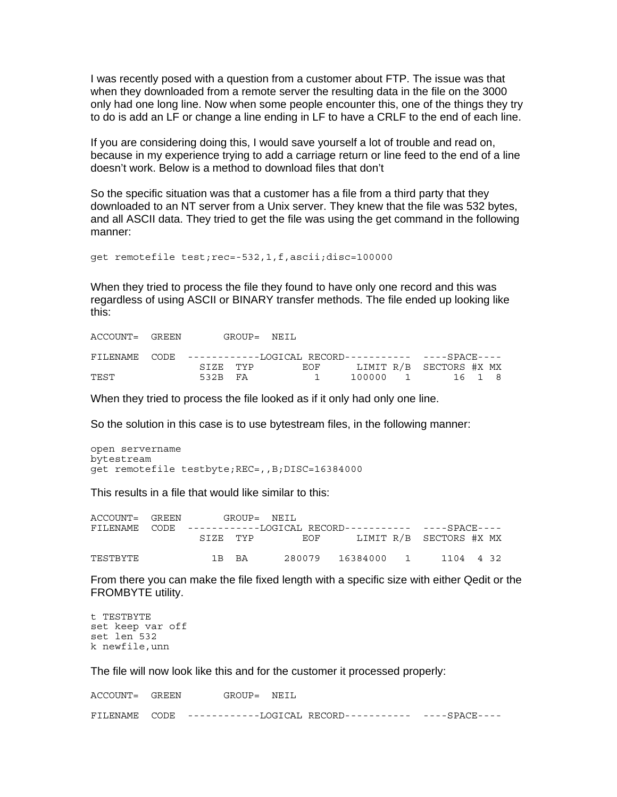I was recently posed with a question from a customer about FTP. The issue was that when they downloaded from a remote server the resulting data in the file on the 3000 only had one long line. Now when some people encounter this, one of the things they try to do is add an LF or change a line ending in LF to have a CRLF to the end of each line.

If you are considering doing this, I would save yourself a lot of trouble and read on, because in my experience trying to add a carriage return or line feed to the end of a line doesn't work. Below is a method to download files that don't

So the specific situation was that a customer has a file from a third party that they downloaded to an NT server from a Unix server. They knew that the file was 532 bytes, and all ASCII data. They tried to get the file was using the get command in the following manner:

get remotefile test;rec=-532,1,f,ascii;disc=100000

When they tried to process the file they found to have only one record and this was regardless of using ASCII or BINARY transfer methods. The file ended up looking like this:

| ACCOUNT= GREEN |         | GROUP= NETL                                                                                                                                                                                                                    |  |                 |  |
|----------------|---------|--------------------------------------------------------------------------------------------------------------------------------------------------------------------------------------------------------------------------------|--|-----------------|--|
|                |         |                                                                                                                                                                                                                                |  |                 |  |
|                |         | SIZE TYP EOF LIMIT R/B SECTORS #X MX                                                                                                                                                                                           |  |                 |  |
| TEST           | 532B FA | and the contract of the contract of the contract of the contract of the contract of the contract of the contract of the contract of the contract of the contract of the contract of the contract of the contract of the contra |  | 100000 1 16 1 8 |  |

When they tried to process the file looked as if it only had only one line.

So the solution in this case is to use bytestream files, in the following manner:

```
open servername 
bytestream 
get remotefile testbyte;REC=,,B;DISC=16384000
```
This results in a file that would like similar to this:

| ACCOUNT= GREEN |                                                                                     |  | GROUP= NEIL  |                             |  |                         |  |
|----------------|-------------------------------------------------------------------------------------|--|--------------|-----------------------------|--|-------------------------|--|
|                | FILENAME        CODE    -----------LOGICAL        RECORD----------    ----SPACE---- |  |              |                             |  |                         |  |
|                |                                                                                     |  | SIZE TYP EOF |                             |  | LIMIT R/B SECTORS #X MX |  |
| TESTBYTE       | 1 R RA                                                                              |  |              | 280079 16384000 1 1104 4 32 |  |                         |  |

From there you can make the file fixed length with a specific size with either Qedit or the FROMBYTE utility.

```
t TESTBYTE 
set keep var off 
set len 532 
k newfile,unn
```
The file will now look like this and for the customer it processed properly:

|  | ACCOUNT= GREEN GROUP= NEIL                                      |  |
|--|-----------------------------------------------------------------|--|
|  | FILENAME CODE -----------LOGICAL RECORD---------- ----SPACE---- |  |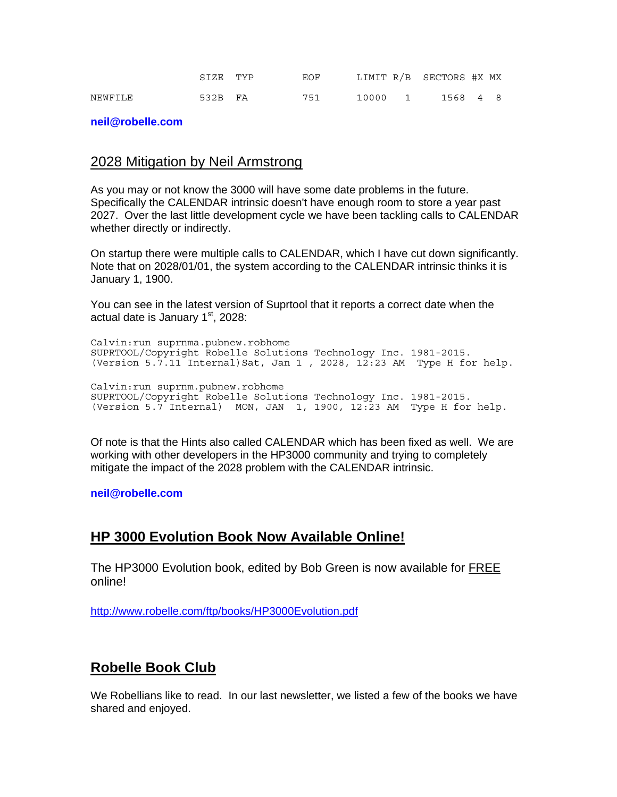|         | SIZE TYP | EOF |  | LIMIT R/B SECTORS #X MX |  |
|---------|----------|-----|--|-------------------------|--|
| NEWFILE | 532B FA  | 751 |  | 10000 1 1568 4 8        |  |

#### **[neil@robelle.com](mailto:neil@robelle.com)**

#### 2028 Mitigation by Neil Armstrong

As you may or not know the 3000 will have some date problems in the future. Specifically the CALENDAR intrinsic doesn't have enough room to store a year past 2027. Over the last little development cycle we have been tackling calls to CALENDAR whether directly or indirectly.

On startup there were multiple calls to CALENDAR, which I have cut down significantly. Note that on 2028/01/01, the system according to the CALENDAR intrinsic thinks it is January 1, 1900.

You can see in the latest version of Suprtool that it reports a correct date when the actual date is January  $1<sup>st</sup>$ , 2028:

Calvin:run suprnma.pubnew.robhome SUPRTOOL/Copyright Robelle Solutions Technology Inc. 1981-2015. (Version 5.7.11 Internal)Sat, Jan 1 , 2028, 12:23 AM Type H for help. Calvin:run suprnm.pubnew.robhome SUPRTOOL/Copyright Robelle Solutions Technology Inc. 1981-2015. (Version 5.7 Internal) MON, JAN 1, 1900, 12:23 AM Type H for help.

Of note is that the Hints also called CALENDAR which has been fixed as well. We are working with other developers in the HP3000 community and trying to completely mitigate the impact of the 2028 problem with the CALENDAR intrinsic.

**[neil@robelle.com](mailto:neil@robelle.com)** 

### **HP 3000 Evolution Book Now Available Online!**

The HP3000 Evolution book, edited by Bob Green is now available for FREE online!

<http://www.robelle.com/ftp/books/HP3000Evolution.pdf>

### **Robelle Book Club**

We Robellians like to read. In our last newsletter, we listed a few of the books we have shared and enjoyed.